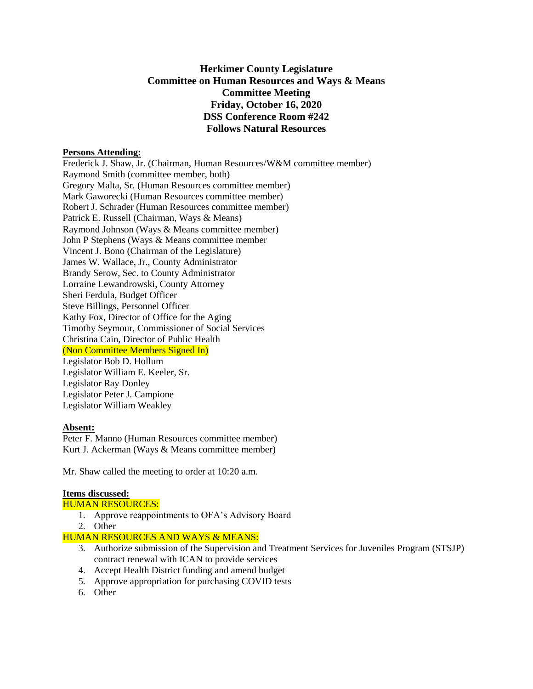# **Herkimer County Legislature Committee on Human Resources and Ways & Means Committee Meeting Friday, October 16, 2020 DSS Conference Room #242 Follows Natural Resources**

### **Persons Attending:**

Frederick J. Shaw, Jr. (Chairman, Human Resources/W&M committee member) Raymond Smith (committee member, both) Gregory Malta, Sr. (Human Resources committee member) Mark Gaworecki (Human Resources committee member) Robert J. Schrader (Human Resources committee member) Patrick E. Russell (Chairman, Ways & Means) Raymond Johnson (Ways & Means committee member) John P Stephens (Ways & Means committee member Vincent J. Bono (Chairman of the Legislature) James W. Wallace, Jr., County Administrator Brandy Serow, Sec. to County Administrator Lorraine Lewandrowski, County Attorney Sheri Ferdula, Budget Officer Steve Billings, Personnel Officer Kathy Fox, Director of Office for the Aging Timothy Seymour, Commissioner of Social Services Christina Cain, Director of Public Health (Non Committee Members Signed In) Legislator Bob D. Hollum Legislator William E. Keeler, Sr. Legislator Ray Donley Legislator Peter J. Campione Legislator William Weakley

# **Absent:**

Peter F. Manno (Human Resources committee member) Kurt J. Ackerman (Ways & Means committee member)

Mr. Shaw called the meeting to order at 10:20 a.m.

### **Items discussed:**

### HUMAN RESOURCES:

- 1. Approve reappointments to OFA's Advisory Board
- 2. Other

HUMAN RESOURCES AND WAYS & MEANS:

- 3. Authorize submission of the Supervision and Treatment Services for Juveniles Program (STSJP) contract renewal with ICAN to provide services
- 4. Accept Health District funding and amend budget
- 5. Approve appropriation for purchasing COVID tests
- 6. Other